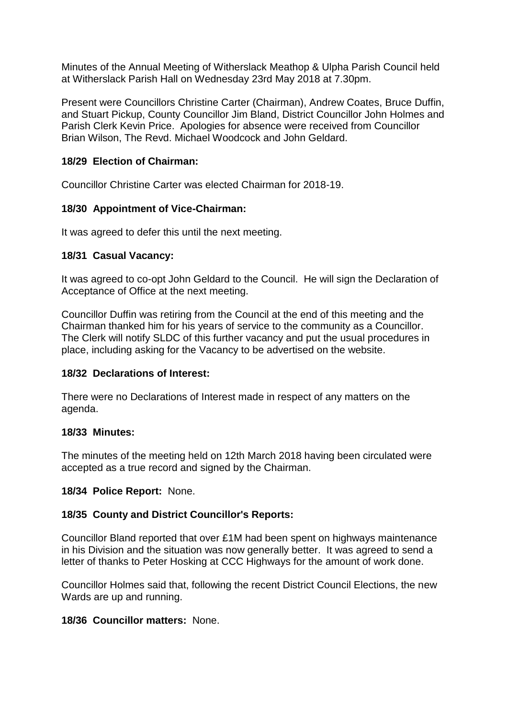Minutes of the Annual Meeting of Witherslack Meathop & Ulpha Parish Council held at Witherslack Parish Hall on Wednesday 23rd May 2018 at 7.30pm.

Present were Councillors Christine Carter (Chairman), Andrew Coates, Bruce Duffin, and Stuart Pickup, County Councillor Jim Bland, District Councillor John Holmes and Parish Clerk Kevin Price. Apologies for absence were received from Councillor Brian Wilson, The Revd. Michael Woodcock and John Geldard.

### **18/29 Election of Chairman:**

Councillor Christine Carter was elected Chairman for 2018-19.

## **18/30 Appointment of Vice-Chairman:**

It was agreed to defer this until the next meeting.

## **18/31 Casual Vacancy:**

It was agreed to co-opt John Geldard to the Council. He will sign the Declaration of Acceptance of Office at the next meeting.

Councillor Duffin was retiring from the Council at the end of this meeting and the Chairman thanked him for his years of service to the community as a Councillor. The Clerk will notify SLDC of this further vacancy and put the usual procedures in place, including asking for the Vacancy to be advertised on the website.

### **18/32 Declarations of Interest:**

There were no Declarations of Interest made in respect of any matters on the agenda.

### **18/33 Minutes:**

The minutes of the meeting held on 12th March 2018 having been circulated were accepted as a true record and signed by the Chairman.

### **18/34 Police Report:** None.

# **18/35 County and District Councillor's Reports:**

Councillor Bland reported that over £1M had been spent on highways maintenance in his Division and the situation was now generally better. It was agreed to send a letter of thanks to Peter Hosking at CCC Highways for the amount of work done.

Councillor Holmes said that, following the recent District Council Elections, the new Wards are up and running.

# **18/36 Councillor matters:** None.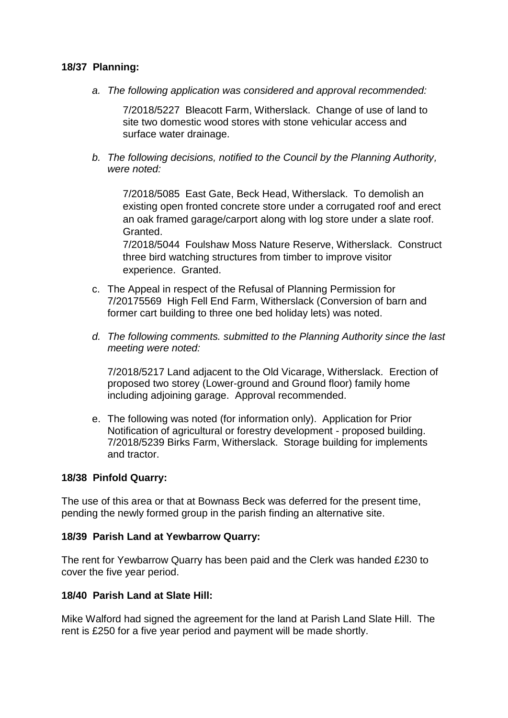### **18/37 Planning:**

*a. The following application was considered and approval recommended:*

 7/2018/5227 Bleacott Farm, Witherslack. Change of use of land to site two domestic wood stores with stone vehicular access and surface water drainage.

*b. The following decisions, notified to the Council by the Planning Authority, were noted:*

7/2018/5085 East Gate, Beck Head, Witherslack. To demolish an existing open fronted concrete store under a corrugated roof and erect an oak framed garage/carport along with log store under a slate roof. Granted.

7/2018/5044 Foulshaw Moss Nature Reserve, Witherslack. Construct three bird watching structures from timber to improve visitor experience. Granted.

- c. The Appeal in respect of the Refusal of Planning Permission for 7/20175569 High Fell End Farm, Witherslack (Conversion of barn and former cart building to three one bed holiday lets) was noted.
- *d. The following comments. submitted to the Planning Authority since the last meeting were noted:*

7/2018/5217 Land adjacent to the Old Vicarage, Witherslack. Erection of proposed two storey (Lower-ground and Ground floor) family home including adjoining garage. Approval recommended.

e. The following was noted (for information only). Application for Prior Notification of agricultural or forestry development - proposed building. 7/2018/5239 Birks Farm, Witherslack. Storage building for implements and tractor.

### **18/38 Pinfold Quarry:**

The use of this area or that at Bownass Beck was deferred for the present time, pending the newly formed group in the parish finding an alternative site.

#### **18/39 Parish Land at Yewbarrow Quarry:**

The rent for Yewbarrow Quarry has been paid and the Clerk was handed £230 to cover the five year period.

### **18/40 Parish Land at Slate Hill:**

Mike Walford had signed the agreement for the land at Parish Land Slate Hill. The rent is £250 for a five year period and payment will be made shortly.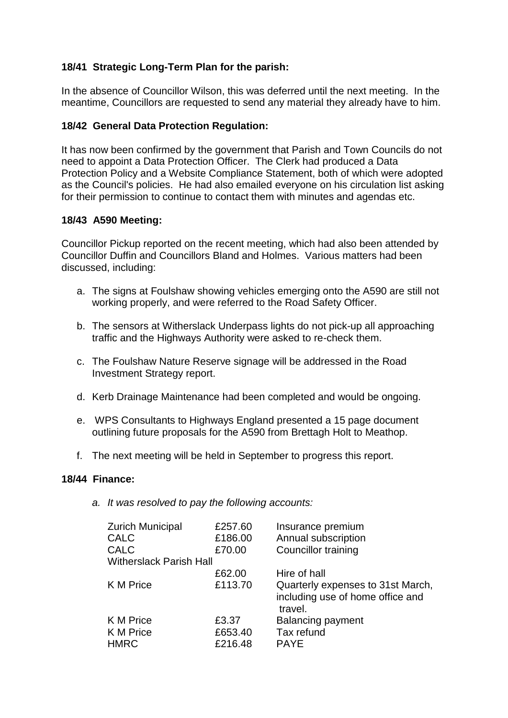# **18/41 Strategic Long-Term Plan for the parish:**

In the absence of Councillor Wilson, this was deferred until the next meeting. In the meantime, Councillors are requested to send any material they already have to him.

# **18/42 General Data Protection Regulation:**

It has now been confirmed by the government that Parish and Town Councils do not need to appoint a Data Protection Officer. The Clerk had produced a Data Protection Policy and a Website Compliance Statement, both of which were adopted as the Council's policies. He had also emailed everyone on his circulation list asking for their permission to continue to contact them with minutes and agendas etc.

## **18/43 A590 Meeting:**

Councillor Pickup reported on the recent meeting, which had also been attended by Councillor Duffin and Councillors Bland and Holmes. Various matters had been discussed, including:

- a. The signs at Foulshaw showing vehicles emerging onto the A590 are still not working properly, and were referred to the Road Safety Officer.
- b. The sensors at Witherslack Underpass lights do not pick-up all approaching traffic and the Highways Authority were asked to re-check them.
- c. The Foulshaw Nature Reserve signage will be addressed in the Road Investment Strategy report.
- d. Kerb Drainage Maintenance had been completed and would be ongoing.
- e. WPS Consultants to Highways England presented a 15 page document outlining future proposals for the A590 from Brettagh Holt to Meathop.
- f. The next meeting will be held in September to progress this report.

### **18/44 Finance:**

*a. It was resolved to pay the following accounts:*

| <b>Zurich Municipal</b>        | £257.60 | Insurance premium                                                                |
|--------------------------------|---------|----------------------------------------------------------------------------------|
| <b>CALC</b>                    | £186.00 | Annual subscription                                                              |
| <b>CALC</b>                    | £70.00  | <b>Councillor training</b>                                                       |
| <b>Witherslack Parish Hall</b> |         |                                                                                  |
|                                | £62.00  | Hire of hall                                                                     |
| K M Price                      | £113.70 | Quarterly expenses to 31st March,<br>including use of home office and<br>travel. |
| K M Price                      | £3.37   | <b>Balancing payment</b>                                                         |
| K M Price                      | £653.40 | Tax refund                                                                       |
| <b>HMRC</b>                    | £216.48 | <b>PAYE</b>                                                                      |